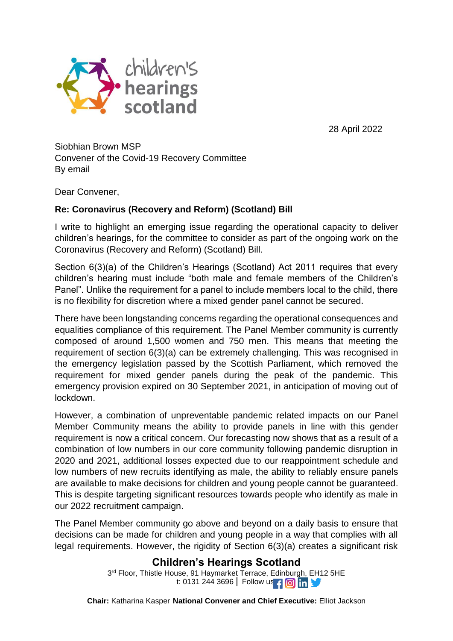

28 April 2022

Siobhian Brown MSP Convener of the Covid-19 Recovery Committee By email

Dear Convener,

## **Re: Coronavirus (Recovery and Reform) (Scotland) Bill**

I write to highlight an emerging issue regarding the operational capacity to deliver children's hearings, for the committee to consider as part of the ongoing work on the Coronavirus (Recovery and Reform) (Scotland) Bill.

Section 6(3)(a) of the Children's Hearings (Scotland) Act 2011 requires that every children's hearing must include "both male and female members of the Children's Panel". Unlike the requirement for a panel to include members local to the child, there is no flexibility for discretion where a mixed gender panel cannot be secured.

There have been longstanding concerns regarding the operational consequences and equalities compliance of this requirement. The Panel Member community is currently composed of around 1,500 women and 750 men. This means that meeting the requirement of section 6(3)(a) can be extremely challenging. This was recognised in the emergency legislation passed by the Scottish Parliament, which removed the requirement for mixed gender panels during the peak of the pandemic. This emergency provision expired on 30 September 2021, in anticipation of moving out of lockdown.

However, a combination of unpreventable pandemic related impacts on our Panel Member Community means the ability to provide panels in line with this gender requirement is now a critical concern. Our forecasting now shows that as a result of a combination of low numbers in our core community following pandemic disruption in 2020 and 2021, additional losses expected due to our reappointment schedule and low numbers of new recruits identifying as male, the ability to reliably ensure panels are available to make decisions for children and young people cannot be guaranteed. This is despite targeting significant resources towards people who identify as male in our 2022 recruitment campaign.

The Panel Member community go above and beyond on a daily basis to ensure that decisions can be made for children and young people in a way that complies with all legal requirements. However, the rigidity of Section 6(3)(a) creates a significant risk

## **Children's Hearings Scotland**

3 rd Floor, Thistle House, 91 Haymarket Terrace, Edinburgh, EH12 5HE t: 0131 244 3696 | Follow us | 0 m